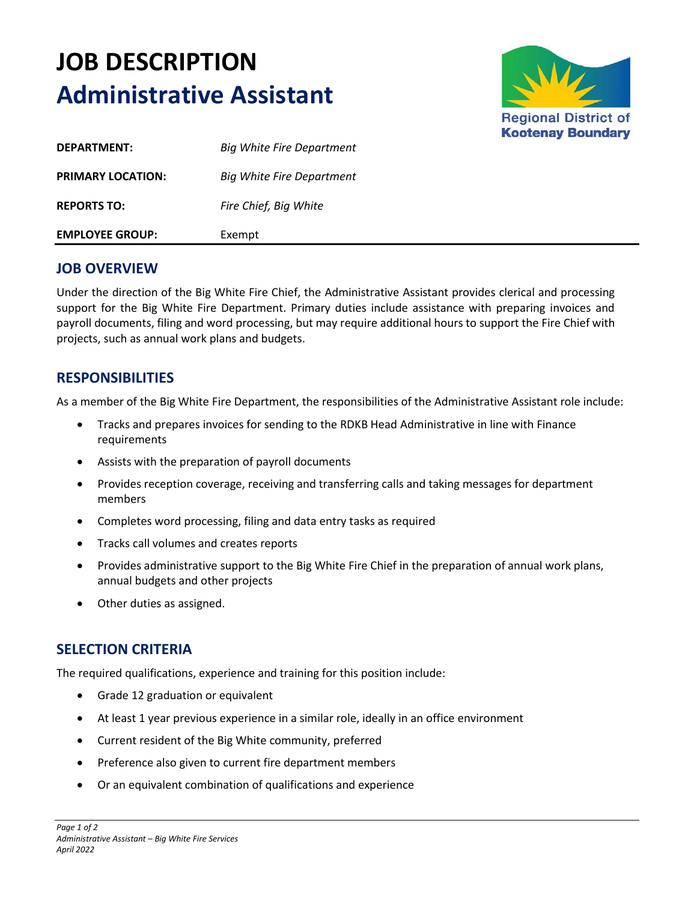## **JOB DESCRIPTION Administrative Assistant**



| <b>EMPLOYEE GROUP:</b>   | Exempt                           |
|--------------------------|----------------------------------|
| <b>REPORTS TO:</b>       | Fire Chief, Big White            |
| <b>PRIMARY LOCATION:</b> | Big White Fire Department        |
| DEPARTMENT:              | <b>Big White Fire Department</b> |

## **JOB OVERVIEW**

Under the direction of the Big White Fire Chief, the Administrative Assistant provides clerical and processing support for the Big White Fire Department. Primary duties include assistance with preparing invoices and payroll documents, filing and word processing, but may require additional hours to support the Fire Chief with projects, such as annual work plans and budgets.

## **RESPONSIBILITIES**

As a member of the Big White Fire Department, the responsibilities of the Administrative Assistant role include:

- Tracks and prepares invoices for sending to the RDKB Head Administrative in line with Finance requirements
- Assists with the preparation of payroll documents
- Provides reception coverage, receiving and transferring calls and taking messages for department members
- Completes word processing, filing and data entry tasks as required
- Tracks call volumes and creates reports
- Provides administrative support to the Big White Fire Chief in the preparation of annual work plans, annual budgets and other projects
- Other duties as assigned.

## **SELECTION CRITERIA**

The required qualifications, experience and training for this position include:

- Grade 12 graduation or equivalent
- At least 1 year previous experience in a similar role, ideally in an office environment
- Current resident of the Big White community, preferred
- Preference also given to current fire department members
- Or an equivalent combination of qualifications and experience